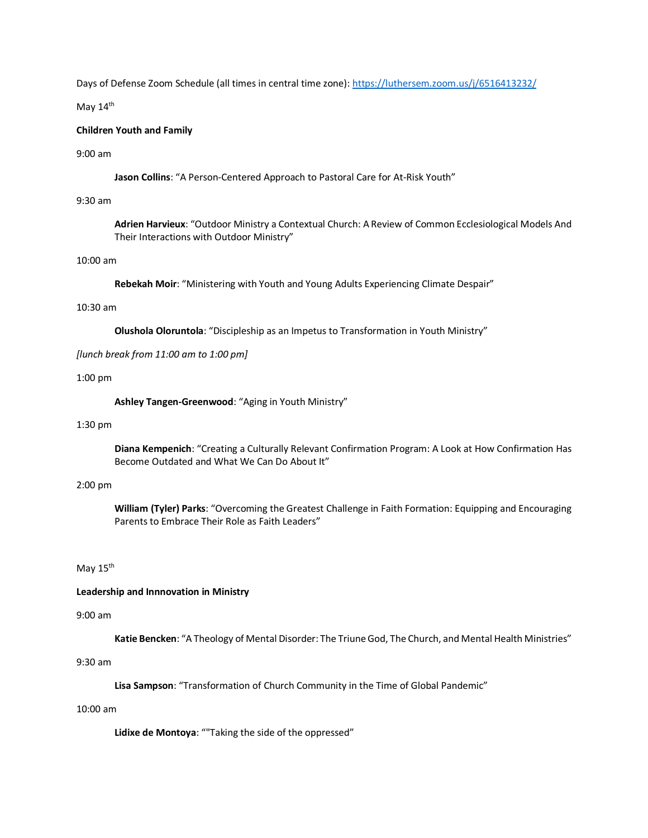Days of Defense Zoom Schedule (all times in central time zone): https://luthersem.zoom.us/j/6516413232/

May 14<sup>th</sup>

# **Children Youth and Family**

#### 9:00 am

**Jason Collins**: "A Person-Centered Approach to Pastoral Care for At-Risk Youth"

## 9:30 am

**Adrien Harvieux**: "Outdoor Ministry a Contextual Church: A Review of Common Ecclesiological Models And Their Interactions with Outdoor Ministry"

# 10:00 am

**Rebekah Moir**: "Ministering with Youth and Young Adults Experiencing Climate Despair"

### 10:30 am

**Olushola Oloruntola**: "Discipleship as an Impetus to Transformation in Youth Ministry"

*[lunch break from 11:00 am to 1:00 pm]*

## 1:00 pm

**Ashley Tangen-Greenwood**: "Aging in Youth Ministry"

## 1:30 pm

**Diana Kempenich**: "Creating a Culturally Relevant Confirmation Program: A Look at How Confirmation Has Become Outdated and What We Can Do About It"

## 2:00 pm

**William (Tyler) Parks**: "Overcoming the Greatest Challenge in Faith Formation: Equipping and Encouraging Parents to Embrace Their Role as Faith Leaders"

## May 15<sup>th</sup>

#### **Leadership and Innnovation in Ministry**

#### 9:00 am

**Katie Bencken**: "A Theology of Mental Disorder: The Triune God, The Church, and Mental Health Ministries"

## 9:30 am

**Lisa Sampson**: "Transformation of Church Community in the Time of Global Pandemic"

## 10:00 am

**Lidixe de Montoya**: ""Taking the side of the oppressed"